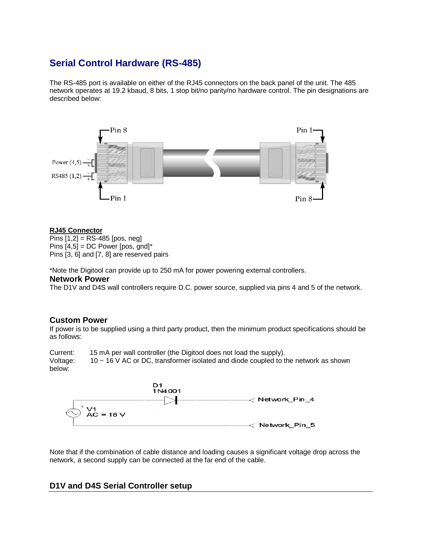# **Serial Control Hardware (RS-485)**

The RS-485 port is available on either of the RJ45 connectors on the back panel of the unit. The 485 network operates at 19.2 kbaud, 8 bits, 1 stop bit/no parity/no hardware control. The pin designations are described below:



#### **RJ45 Connector**

Pins [1,2] = RS-485 [pos, neg] Pins  $[4,5]$  = DC Power [pos, gnd]\* Pins [3, 6] and [7, 8] are reserved pairs

\*Note the Digitool can provide up to 250 mA for power powering external controllers.

## **Network Power**

The D1V and D4S wall controllers require D.C. power source, supplied via pins 4 and 5 of the network.

## **Custom Power**

If power is to be supplied using a third party product, then the minimum product specifications should be as follows:

Current: 15 mA per wall controller (the Digitool does not load the supply). Voltage: 10 ~ 16 V AC or DC, transformer isolated and diode coupled to the network as shown below:



Note that if the combination of cable distance and loading causes a significant voltage drop across the network, a second supply can be connected at the far end of the cable.

# **D1V and D4S Serial Controller setup**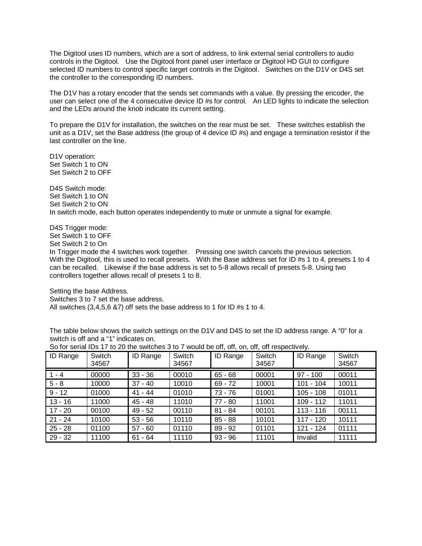The Digitool uses ID numbers, which are a sort of address, to link external serial controllers to audio controls in the Digitool. Use the Digitool front panel user interface or Digitool HD GUI to configure selected ID numbers to control specific target controls in the Digitool. Switches on the D1V or D4S set the controller to the corresponding ID numbers.

The D1V has a rotary encoder that the sends set commands with a value. By pressing the encoder, the user can select one of the 4 consecutive device ID #s for control. An LED lights to indicate the selection and the LEDs around the knob indicate its current setting.

To prepare the D1V for installation, the switches on the rear must be set. These switches establish the unit as a D1V, set the Base address (the group of 4 device ID #s) and engage a termination resistor if the last controller on the line.

D1V operation: Set Switch 1 to ON Set Switch 2 to OFF

D4S Switch mode: Set Switch 1 to ON Set Switch 2 to ON In switch mode, each button operates independently to mute or unmute a signal for example.

D4S Trigger mode: Set Switch 1 to OFF

Set Switch 2 to On

In Trigger mode the 4 switches work together. Pressing one switch cancels the previous selection. With the Digitool, this is used to recall presets. With the Base address set for ID #s 1 to 4, presets 1 to 4 can be recalled. Likewise if the base address is set to 5-8 allows recall of presets 5-8. Using two controllers together allows recall of presets 1 to 8.

Setting the base Address.

Switches 3 to 7 set the base address.

All switches (3,4,5,6 &7) off sets the base address to 1 for ID #s 1 to 4.

The table below shows the switch settings on the D1V and D4S to set the ID address range. A "0" for a switch is off and a "1" indicates on.

| <b>ID Range</b> | Switch<br>34567 | <b>ID Range</b> | Switch<br>34567 | ID Range  | Switch<br>34567 | <b>ID Range</b> | Switch<br>34567 |
|-----------------|-----------------|-----------------|-----------------|-----------|-----------------|-----------------|-----------------|
| $1 - 4$         | 00000           | $33 - 36$       | 00010           | $65 - 68$ | 00001           | $97 - 100$      | 00011           |
| $5 - 8$         | 10000           | $37 - 40$       | 10010           | $69 - 72$ | 10001           | $101 - 104$     | 10011           |
| $9 - 12$        | 01000           | $41 - 44$       | 01010           | 73 - 76   | 01001           | $105 - 108$     | 01011           |
| $13 - 16$       | 11000           | 45 - 48         | 11010           | 77 - 80   | 11001           | $109 - 112$     | 11011           |
| $17 - 20$       | 00100           | 49 - 52         | 00110           | $81 - 84$ | 00101           | $113 - 116$     | 00111           |
| $21 - 24$       | 10100           | $53 - 56$       | 10110           | $85 - 88$ | 10101           | $117 - 120$     | 10111           |
| $25 - 28$       | 01100           | $57 - 60$       | 01110           | $89 - 92$ | 01101           | 121 - 124       | 01111           |
| $29 - 32$       | 11100           | - 64<br>61      | 11110           | $93 - 96$ | 11101           | Invalid         | 11111           |

So for serial IDs 17 to 20 the switches 3 to 7 would be off, off, on, off, off respectively.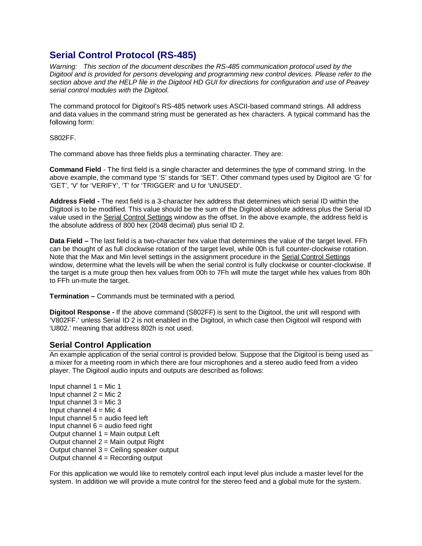# **Serial Control Protocol (RS-485)**

*Warning: This section of the document describes the RS-485 communication protocol used by the Digitool and is provided for persons developing and programming new control devices. Please refer to the section above and the HELP file in the Digitool HD GUI for directions for configuration and use of Peavey serial control modules with the Digitool.*

The command protocol for Digitool's RS-485 network uses ASCII-based command strings. All address and data values in the command string must be generated as hex characters. A typical command has the following form:

S802FF.

The command above has three fields plus a terminating character. They are:

**Command Field** - The first field is a single character and determines the type of command string. In the above example, the command type 'S' stands for 'SET'. Other command types used by Digitool are 'G' for 'GET', 'V' for 'VERIFY', 'T' for 'TRIGGER' and U for 'UNUSED'.

**Address Field -** The next field is a 3-character hex address that determines which serial ID within the Digitool is to be modified. This value should be the sum of the Digitool absolute address plus the Serial ID value used in the Serial Control Settings window as the offset. In the above example, the address field is the absolute address of 800 hex (2048 decimal) plus serial ID 2.

**Data Field –** The last field is a two-character hex value that determines the value of the target level. FFh can be thought of as full clockwise rotation of the target level, while 00h is full counter-clockwise rotation. Note that the Max and Min level settings in the assignment procedure in the Serial Control Settings window, determine what the levels will be when the serial control is fully clockwise or counter-clockwise. If the target is a mute group then hex values from 00h to 7Fh will mute the target while hex values from 80h to FFh un-mute the target.

**Termination –** Commands must be terminated with a period.

**Digitool Response -** If the above command (S802FF) is sent to the Digitool, the unit will respond with 'V802FF.' unless Serial ID 2 is not enabled in the Digitool, in which case then Digitool will respond with 'U802.' meaning that address 802h is not used.

## **Serial Control Application**

An example application of the serial control is provided below. Suppose that the Digitool is being used as a mixer for a meeting room in which there are four microphones and a stereo audio feed from a video player. The Digitool audio inputs and outputs are described as follows:

Input channel  $1 =$  Mic 1 Input channel  $2 =$  Mic 2 Input channel  $3 =$  Mic 3 Input channel  $4 =$  Mic  $4$ Input channel  $5 =$  audio feed left Input channel  $6 =$  audio feed right Output channel  $1 =$  Main output Left Output channel  $2 =$  Main output Right Output channel 3 = Ceiling speaker output Output channel 4 = Recording output

For this application we would like to remotely control each input level plus include a master level for the system. In addition we will provide a mute control for the stereo feed and a global mute for the system.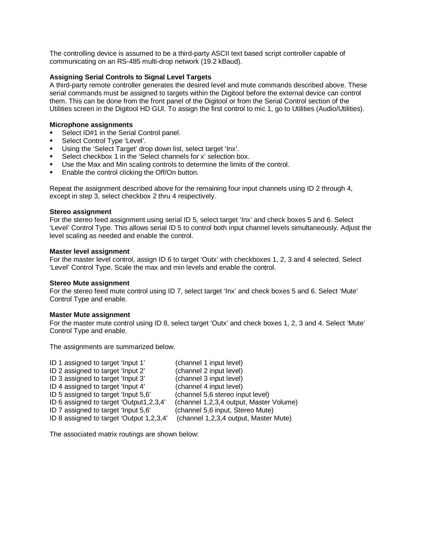The controlling device is assumed to be a third-party ASCII text based script controller capable of communicating on an RS-485 multi-drop network (19.2 kBaud).

#### **Assigning Serial Controls to Signal Level Targets**

A third-party remote controller generates the desired level and mute commands described above. These serial commands must be assigned to targets within the Digitool before the external device can control them. This can be done from the front panel of the Digitool or from the Serial Control section of the Utilities screen in the Digitool HD GUI. To assign the first control to mic 1, go to Utilities (Audio/Utilities).

#### **Microphone assignments**

- Select ID#1 in the Serial Control panel.
- Select Control Type 'Level'.
- Using the 'Select Target' drop down list, select target 'Inx'.
- Select checkbox 1 in the 'Select channels for x' selection box.
- Use the Max and Min scaling controls to determine the limits of the control.
- **Enable the control clicking the Off/On button.**

Repeat the assignment described above for the remaining four input channels using ID 2 through 4, except in step 3, select checkbox 2 thru 4 respectively.

#### **Stereo assignment**

For the stereo feed assignment using serial ID 5, select target 'Inx' and check boxes 5 and 6. Select 'Level' Control Type. This allows serial ID 5 to control both input channel levels simultaneously. Adjust the level scaling as needed and enable the control.

#### **Master level assignment**

For the master level control, assign ID 6 to target 'Outx' with checkboxes 1, 2, 3 and 4 selected. Select 'Level' Control Type. Scale the max and min levels and enable the control.

#### **Stereo Mute assignment**

For the stereo feed mute control using ID 7, select target 'Inx' and check boxes 5 and 6. Select 'Mute' Control Type and enable.

#### **Master Mute assignment**

For the master mute control using ID 8, select target 'Outx' and check boxes 1, 2, 3 and 4. Select 'Mute' Control Type and enable.

The assignments are summarized below.

| (channel 1 input level)                 |
|-----------------------------------------|
| (channel 2 input level)                 |
| (channel 3 input level)                 |
| (channel 4 input level)                 |
| (channel 5,6 stereo input level)        |
| (channel 1,2,3,4 output, Master Volume) |
| (channel 5,6 input, Stereo Mute)        |
| (channel 1,2,3,4 output, Master Mute)   |
|                                         |

The associated matrix routings are shown below: